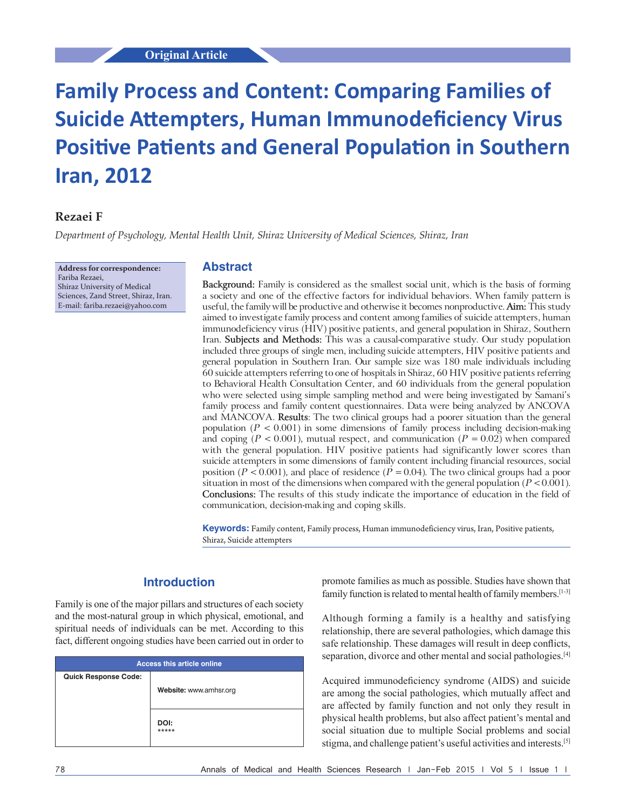# **Original Article**

# **Family Process and Content: Comparing Families of Suicide Attempters, Human Immunodeficiency Virus Positive Patients and General Population in Southern Iran, 2012**

# **Rezaei F**

*Department of Psychology, Mental Health Unit, Shiraz University of Medical Sciences, Shiraz, Iran*

**Address for correspondence:** Fariba Rezaei, Shiraz University of Medical Sciences, Zand Street, Shiraz, Iran. E‑mail: fariba.rezaei@yahoo.com

#### **Abstract**

**Background:** Family is considered as the smallest social unit, which is the basis of forming a society and one of the effective factors for individual behaviors. When family pattern is useful, the family will be productive and otherwise it becomes nonproductive. **Aim:** This study aimed to investigate family process and content among families of suicide attempters, human immunodeficiency virus (HIV) positive patients, and general population in Shiraz, Southern Iran. **Subjects and Methods:** This was a causal‑comparative study. Our study population included three groups of single men, including suicide attempters, HIV positive patients and general population in Southern Iran. Our sample size was 180 male individuals including 60 suicide attempters referring to one of hospitals in Shiraz, 60 HIV positive patients referring to Behavioral Health Consultation Center, and 60 individuals from the general population who were selected using simple sampling method and were being investigated by Samani's family process and family content questionnaires. Data were being analyzed by ANCOVA and MANCOVA. **Results**: The two clinical groups had a poorer situation than the general population  $(P < 0.001)$  in some dimensions of family process including decision-making and coping ( $P < 0.001$ ), mutual respect, and communication ( $P = 0.02$ ) when compared with the general population. HIV positive patients had significantly lower scores than suicide attempters in some dimensions of family content including financial resources, social position ( $P < 0.001$ ), and place of residence ( $\dot{P} = 0.04$ ). The two clinical groups had a poor situation in most of the dimensions when compared with the general population (*P* < 0.001). **Conclusions:** The results of this study indicate the importance of education in the field of communication, decision‑making and coping skills.

**Keywords:** Family content, Family process, Human immunodeficiency virus, Iran, Positive patients, Shiraz, Suicide attempters

# **Introduction**

Family is one of the major pillars and structures of each society and the most-natural group in which physical, emotional, and spiritual needs of individuals can be met. According to this fact, different ongoing studies have been carried out in order to

| <b>Access this article online</b> |                        |  |  |  |
|-----------------------------------|------------------------|--|--|--|
| <b>Quick Response Code:</b>       |                        |  |  |  |
|                                   | Website: www.amhsr.org |  |  |  |
|                                   |                        |  |  |  |
|                                   | DOI:<br>*****          |  |  |  |

promote families as much as possible. Studies have shown that family function is related to mental health of family members.<sup>[1-3]</sup>

Although forming a family is a healthy and satisfying relationship, there are several pathologies, which damage this safe relationship. These damages will result in deep conflicts, separation, divorce and other mental and social pathologies.<sup>[4]</sup>

Acquired immunodeficiency syndrome (AIDS) and suicide are among the social pathologies, which mutually affect and are affected by family function and not only they result in physical health problems, but also affect patient's mental and social situation due to multiple Social problems and social stigma, and challenge patient's useful activities and interests.[5]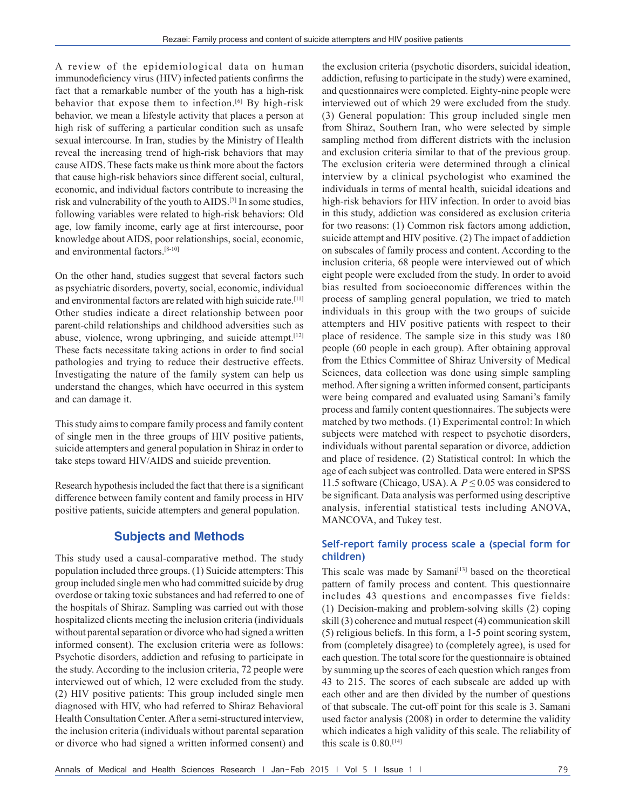A review of the epidemiological data on human immunodeficiency virus (HIV) infected patients confirms the fact that a remarkable number of the youth has a high-risk behavior that expose them to infection.<sup>[6]</sup> By high-risk behavior, we mean a lifestyle activity that places a person at high risk of suffering a particular condition such as unsafe sexual intercourse. In Iran, studies by the Ministry of Health reveal the increasing trend of high-risk behaviors that may cause AIDS. These facts make us think more about the factors that cause high-risk behaviors since different social, cultural, economic, and individual factors contribute to increasing the risk and vulnerability of the youth to AIDS.[7] In some studies, following variables were related to high-risk behaviors: Old age, low family income, early age at first intercourse, poor knowledge about AIDS, poor relationships, social, economic, and environmental factors.[8-10]

On the other hand, studies suggest that several factors such as psychiatric disorders, poverty, social, economic, individual and environmental factors are related with high suicide rate.<sup>[11]</sup> Other studies indicate a direct relationship between poor parent-child relationships and childhood adversities such as abuse, violence, wrong upbringing, and suicide attempt.<sup>[12]</sup> These facts necessitate taking actions in order to find social pathologies and trying to reduce their destructive effects. Investigating the nature of the family system can help us understand the changes, which have occurred in this system and can damage it.

This study aims to compare family process and family content of single men in the three groups of HIV positive patients, suicide attempters and general population in Shiraz in order to take steps toward HIV/AIDS and suicide prevention.

Research hypothesis included the fact that there is a significant difference between family content and family process in HIV positive patients, suicide attempters and general population.

# **Subjects and Methods**

This study used a causal-comparative method. The study population included three groups. (1) Suicide attempters: This group included single men who had committed suicide by drug overdose or taking toxic substances and had referred to one of the hospitals of Shiraz. Sampling was carried out with those hospitalized clients meeting the inclusion criteria (individuals without parental separation or divorce who had signed a written informed consent). The exclusion criteria were as follows: Psychotic disorders, addiction and refusing to participate in the study. According to the inclusion criteria, 72 people were interviewed out of which, 12 were excluded from the study. (2) HIV positive patients: This group included single men diagnosed with HIV, who had referred to Shiraz Behavioral Health Consultation Center. After a semi-structured interview, the inclusion criteria (individuals without parental separation or divorce who had signed a written informed consent) and

the exclusion criteria (psychotic disorders, suicidal ideation, addiction, refusing to participate in the study) were examined, and questionnaires were completed. Eighty-nine people were interviewed out of which 29 were excluded from the study. (3) General population: This group included single men from Shiraz, Southern Iran, who were selected by simple sampling method from different districts with the inclusion and exclusion criteria similar to that of the previous group. The exclusion criteria were determined through a clinical interview by a clinical psychologist who examined the individuals in terms of mental health, suicidal ideations and high-risk behaviors for HIV infection. In order to avoid bias in this study, addiction was considered as exclusion criteria for two reasons: (1) Common risk factors among addiction, suicide attempt and HIV positive. (2) The impact of addiction on subscales of family process and content. According to the inclusion criteria, 68 people were interviewed out of which eight people were excluded from the study. In order to avoid bias resulted from socioeconomic differences within the process of sampling general population, we tried to match individuals in this group with the two groups of suicide attempters and HIV positive patients with respect to their place of residence. The sample size in this study was 180 people (60 people in each group). After obtaining approval from the Ethics Committee of Shiraz University of Medical Sciences, data collection was done using simple sampling method. After signing a written informed consent, participants were being compared and evaluated using Samani's family process and family content questionnaires. The subjects were matched by two methods. (1) Experimental control: In which subjects were matched with respect to psychotic disorders, individuals without parental separation or divorce, addiction and place of residence. (2) Statistical control: In which the age of each subject was controlled. Data were entered in SPSS 11.5 software (Chicago, USA). A *P* ≤ 0.05 was considered to be significant. Data analysis was performed using descriptive analysis, inferential statistical tests including ANOVA, MANCOVA, and Tukey test.

## **Self‑report family process scale a (special form for children)**

This scale was made by Samani<sup>[13]</sup> based on the theoretical pattern of family process and content. This questionnaire includes 43 questions and encompasses five fields: (1) Decision-making and problem-solving skills (2) coping skill (3) coherence and mutual respect (4) communication skill (5) religious beliefs. In this form, a 1-5 point scoring system, from (completely disagree) to (completely agree), is used for each question. The total score for the questionnaire is obtained by summing up the scores of each question which ranges from 43 to 215. The scores of each subscale are added up with each other and are then divided by the number of questions of that subscale. The cut-off point for this scale is 3. Samani used factor analysis (2008) in order to determine the validity which indicates a high validity of this scale. The reliability of this scale is  $0.80$ .<sup>[14]</sup>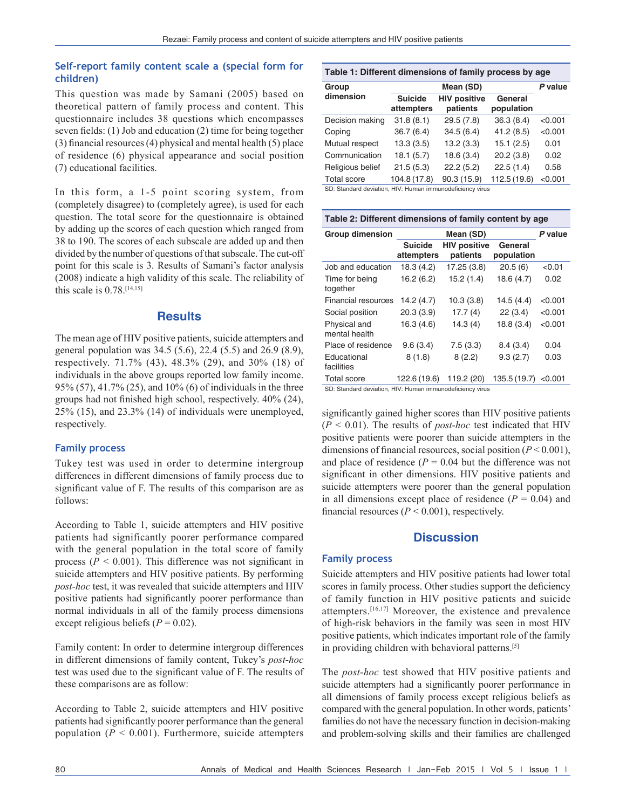## **Self‑report family content scale a (special form for children)**

This question was made by Samani (2005) based on theoretical pattern of family process and content. This questionnaire includes 38 questions which encompasses seven fields: (1) Job and education (2) time for being together (3) financial resources(4) physical and mental health (5) place of residence (6) physical appearance and social position (7) educational facilities.

In this form, a 1-5 point scoring system, from (completely disagree) to (completely agree), is used for each question. The total score for the questionnaire is obtained by adding up the scores of each question which ranged from 38 to 190. The scores of each subscale are added up and then divided by the number of questions of that subscale. The cut-off point for this scale is 3. Results of Samani's factor analysis (2008) indicate a high validity of this scale. The reliability of this scale is  $0.78$ .<sup>[14,15]</sup>

## **Results**

The mean age of HIV positive patients, suicide attempters and general population was 34.5 (5.6), 22.4 (5.5) and 26.9 (8.9), respectively. 71.7% (43), 48.3% (29), and 30% (18) of individuals in the above groups reported low family income. 95% (57), 41.7% (25), and 10% (6) of individuals in the three groups had not finished high school, respectively. 40% (24), 25% (15), and 23.3% (14) of individuals were unemployed, respectively.

## **Family process**

Tukey test was used in order to determine intergroup differences in different dimensions of family process due to significant value of F. The results of this comparison are as follows:

According to Table 1, suicide attempters and HIV positive patients had significantly poorer performance compared with the general population in the total score of family process ( $P < 0.001$ ). This difference was not significant in suicide attempters and HIV positive patients. By performing *post*-*hoc* test, it was revealed that suicide attempters and HIV positive patients had significantly poorer performance than normal individuals in all of the family process dimensions except religious beliefs  $(P = 0.02)$ .

Family content: In order to determine intergroup differences in different dimensions of family content, Tukey's *post*-*hoc* test was used due to the significant value of F. The results of these comparisons are as follow:

According to Table 2, suicide attempters and HIV positive patients had significantly poorer performance than the general population ( $P < 0.001$ ). Furthermore, suicide attempters

| Table 1: Different dimensions of family process by age                                           |                              |                                 |                       |         |  |  |  |
|--------------------------------------------------------------------------------------------------|------------------------------|---------------------------------|-----------------------|---------|--|--|--|
| Group                                                                                            |                              | P value                         |                       |         |  |  |  |
| dimension                                                                                        | <b>Suicide</b><br>attempters | <b>HIV positive</b><br>patients | General<br>population |         |  |  |  |
| Decision making                                                                                  | 31.8(8.1)                    | 29.5 (7.8)                      | 36.3(8.4)             | < 0.001 |  |  |  |
| Coping                                                                                           | 36.7(6.4)                    | 34.5(6.4)                       | 41.2(8.5)             | < 0.001 |  |  |  |
| Mutual respect                                                                                   | 13.3(3.5)                    | 13.2(3.3)                       | 15.1(2.5)             | 0.01    |  |  |  |
| Communication                                                                                    | 18.1(5.7)                    | 18.6(3.4)                       | 20.2(3.8)             | 0.02    |  |  |  |
| Religious belief                                                                                 | 21.5(5.3)                    | 22.2(5.2)                       | 22.5(1.4)             | 0.58    |  |  |  |
| <b>Total score</b><br>OD: Other data day data is a 110 feet to the continued and data acceptance | 104.8 (17.8)                 | 90.3 (15.9)                     | 112.5 (19.6)          | < 0.001 |  |  |  |

SD: Standard deviation, HIV: Human immunodeficiency virus

**Table 2: Different dimensions of family content by age**

| <b>Group dimension</b>                                   | Mean (SD)                    |                                 |                       | P value |
|----------------------------------------------------------|------------------------------|---------------------------------|-----------------------|---------|
|                                                          | <b>Suicide</b><br>attempters | <b>HIV positive</b><br>patients | General<br>population |         |
| Job and education                                        | 18.3 (4.2)                   | 17.25 (3.8)                     | 20.5(6)               | < 0.01  |
| Time for being<br>together                               | 16.2(6.2)                    | 15.2(1.4)                       | 18.6 (4.7)            | 0.02    |
| <b>Financial resources</b>                               | 14.2 (4.7)                   | 10.3(3.8)                       | 14.5 (4.4)            | < 0.001 |
| Social position                                          | 20.3(3.9)                    | 17.7(4)                         | 22(3.4)               | < 0.001 |
| Physical and<br>mental health                            | 16.3(4.6)                    | 14.3(4)                         | 18.8(3.4)             | < 0.001 |
| Place of residence                                       | 9.6(3.4)                     | 7.5(3.3)                        | 8.4(3.4)              | 0.04    |
| Educational<br>facilities                                | 8(1.8)                       | 8(2.2)                          | 9.3(2.7)              | 0.03    |
| <b>Total score</b>                                       | 122.6 (19.6)                 | 119.2 (20)                      | 135.5 (19.7)          | < 0.001 |
| SD: Standard deviation HIV: Human immunodeficiency virus |                              |                                 |                       |         |

SD: Standard deviation, HIV: Human immunodeficiency

significantly gained higher scores than HIV positive patients (*P* < 0.01). The results of *post*-*hoc* test indicated that HIV positive patients were poorer than suicide attempters in the dimensions of financial resources, social position (*P* < 0.001), and place of residence  $(P = 0.04$  but the difference was not significant in other dimensions. HIV positive patients and suicide attempters were poorer than the general population in all dimensions except place of residence  $(P = 0.04)$  and financial resources ( $P < 0.001$ ), respectively.

## **Discussion**

#### **Family process**

Suicide attempters and HIV positive patients had lower total scores in family process. Other studies support the deficiency of family function in HIV positive patients and suicide attempters.[16,17] Moreover, the existence and prevalence of high-risk behaviors in the family was seen in most HIV positive patients, which indicates important role of the family in providing children with behavioral patterns.[5]

The *post*-*hoc* test showed that HIV positive patients and suicide attempters had a significantly poorer performance in all dimensions of family process except religious beliefs as compared with the general population. In other words, patients' families do not have the necessary function in decision-making and problem-solving skills and their families are challenged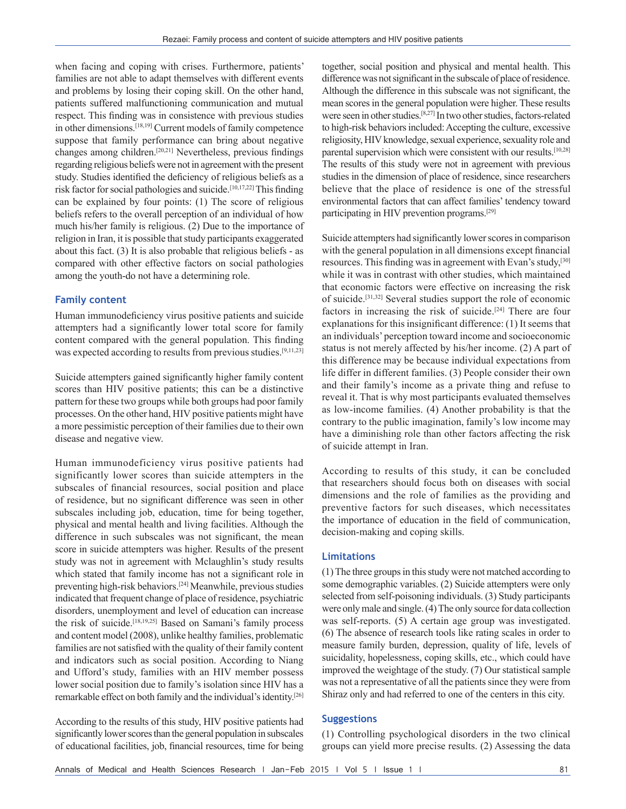when facing and coping with crises. Furthermore, patients' families are not able to adapt themselves with different events and problems by losing their coping skill. On the other hand, patients suffered malfunctioning communication and mutual respect. This finding was in consistence with previous studies in other dimensions.[18,19] Current models of family competence suppose that family performance can bring about negative changes among children.[20,21] Nevertheless, previous findings regarding religious beliefs were not in agreement with the present study. Studies identified the deficiency of religious beliefs as a risk factor for social pathologies and suicide.<sup>[10,17,22]</sup> This finding can be explained by four points: (1) The score of religious beliefs refers to the overall perception of an individual of how much his/her family is religious. (2) Due to the importance of religion in Iran, it is possible that study participants exaggerated about this fact. (3) It is also probable that religious beliefs - as compared with other effective factors on social pathologies among the youth-do not have a determining role.

#### **Family content**

Human immunodeficiency virus positive patients and suicide attempters had a significantly lower total score for family content compared with the general population. This finding was expected according to results from previous studies.<sup>[9,11,23]</sup>

Suicide attempters gained significantly higher family content scores than HIV positive patients; this can be a distinctive pattern for these two groups while both groups had poor family processes. On the other hand, HIV positive patients might have a more pessimistic perception of their families due to their own disease and negative view.

Human immunodeficiency virus positive patients had significantly lower scores than suicide attempters in the subscales of financial resources, social position and place of residence, but no significant difference was seen in other subscales including job, education, time for being together, physical and mental health and living facilities. Although the difference in such subscales was not significant, the mean score in suicide attempters was higher. Results of the present study was not in agreement with Mclaughlin's study results which stated that family income has not a significant role in preventing high-risk behaviors.[24] Meanwhile, previous studies indicated that frequent change of place of residence, psychiatric disorders, unemployment and level of education can increase the risk of suicide.[18,19,25] Based on Samani's family process and content model (2008), unlike healthy families, problematic families are not satisfied with the quality of their family content and indicators such as social position. According to Niang and Ufford's study, families with an HIV member possess lower social position due to family's isolation since HIV has a remarkable effect on both family and the individual's identity.[26]

According to the results of this study, HIV positive patients had significantly lower scores than the general population in subscales of educational facilities, job, financial resources, time for being together, social position and physical and mental health. This difference was not significant in the subscale of place of residence. Although the difference in this subscale was not significant, the mean scores in the general population were higher. These results were seen in other studies.[8,27] In two other studies, factors-related to high-risk behaviors included: Accepting the culture, excessive religiosity, HIV knowledge, sexual experience, sexuality role and parental supervision which were consistent with our results.<sup>[10,28]</sup> The results of this study were not in agreement with previous studies in the dimension of place of residence, since researchers believe that the place of residence is one of the stressful environmental factors that can affect families' tendency toward participating in HIV prevention programs.[29]

Suicide attempters had significantly lower scores in comparison with the general population in all dimensions except financial resources. This finding was in agreement with Evan's study,<sup>[30]</sup> while it was in contrast with other studies, which maintained that economic factors were effective on increasing the risk of suicide.[31,32] Several studies support the role of economic factors in increasing the risk of suicide.[24] There are four explanations for this insignificant difference: (1) It seems that an individuals' perception toward income and socioeconomic status is not merely affected by his/her income. (2) A part of this difference may be because individual expectations from life differ in different families. (3) People consider their own and their family's income as a private thing and refuse to reveal it. That is why most participants evaluated themselves as low-income families. (4) Another probability is that the contrary to the public imagination, family's low income may have a diminishing role than other factors affecting the risk of suicide attempt in Iran.

According to results of this study, it can be concluded that researchers should focus both on diseases with social dimensions and the role of families as the providing and preventive factors for such diseases, which necessitates the importance of education in the field of communication, decision-making and coping skills.

#### **Limitations**

(1) The three groups in this study were not matched according to some demographic variables. (2) Suicide attempters were only selected from self-poisoning individuals. (3) Study participants were only male and single.(4) The only source for data collection was self-reports. (5) A certain age group was investigated. (6) The absence of research tools like rating scales in order to measure family burden, depression, quality of life, levels of suicidality, hopelessness, coping skills, etc., which could have improved the weightage of the study. (7) Our statistical sample was not a representative of all the patients since they were from Shiraz only and had referred to one of the centers in this city.

#### **Suggestions**

(1) Controlling psychological disorders in the two clinical groups can yield more precise results. (2) Assessing the data